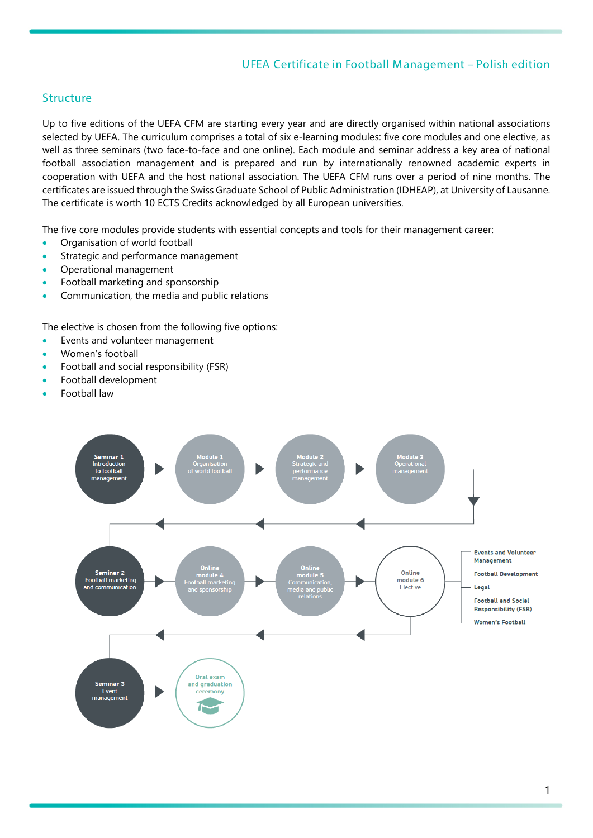## UFEA Certificate in Football M anagement – Polish edition

#### **Structure**

Up to five editions of the UEFA CFM are starting every year and are directly organised within national associations selected by UEFA. The curriculum comprises a total of six e-learning modules: five core modules and one elective, as well as three seminars (two face-to-face and one online). Each module and seminar address a key area of national football association management and is prepared and run by internationally renowned academic experts in cooperation with UEFA and the host national association. The UEFA CFM runs over a period of nine months. The certificates are issued through the Swiss Graduate School of Public Administration (IDHEAP), at University of Lausanne. The certificate is worth 10 ECTS Credits acknowledged by all European universities.

The five core modules provide students with essential concepts and tools for their management career:

- Organisation of world football
- Strategic and performance management
- Operational management
- Football marketing and sponsorship
- Communication, the media and public relations

The elective is chosen from the following five options:

- Events and volunteer management
- Women's football
- Football and social responsibility (FSR)
- Football development
- Football law